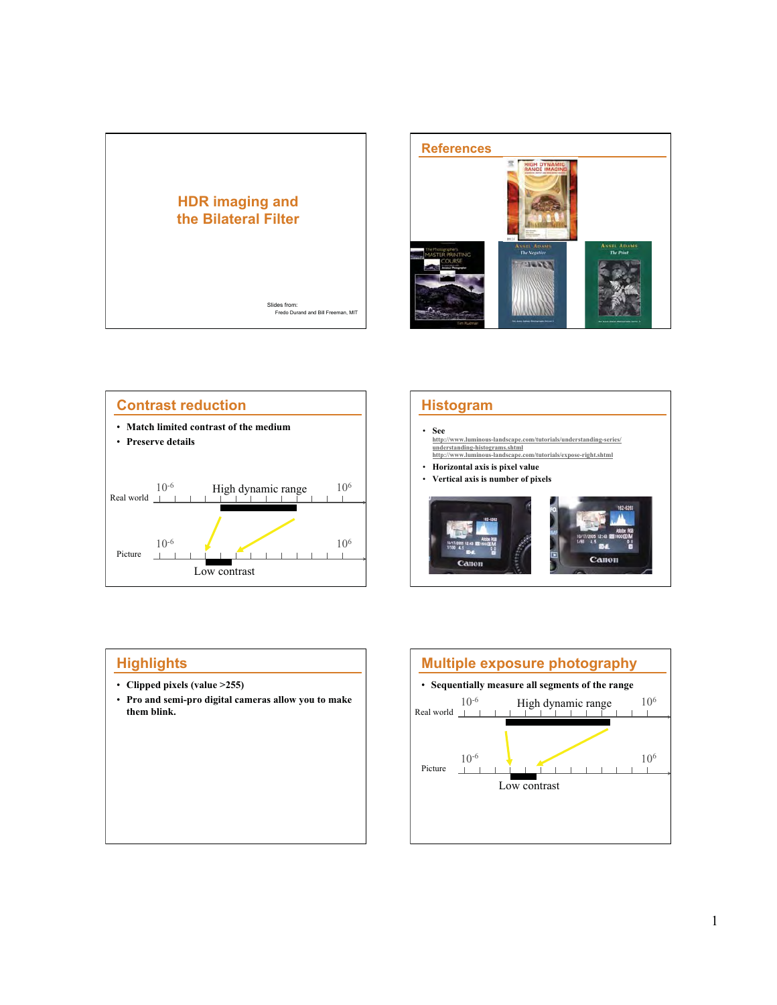









- **Clipped pixels (value >255)**
- **Pro and semi-pro digital cameras allow you to make them blink.**

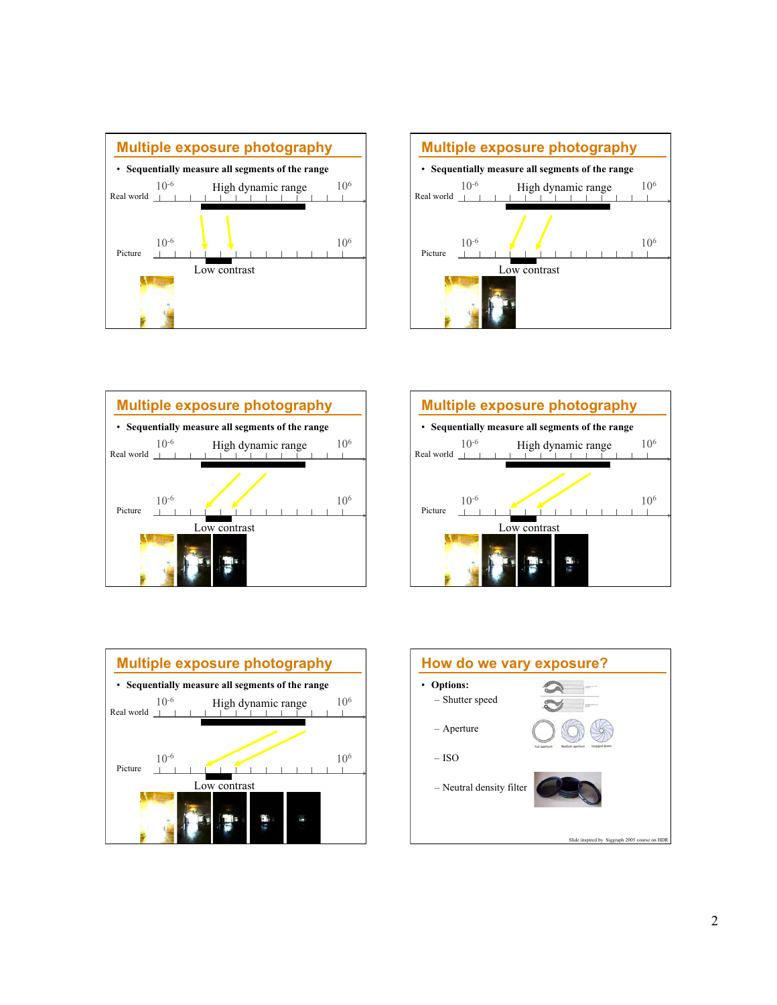









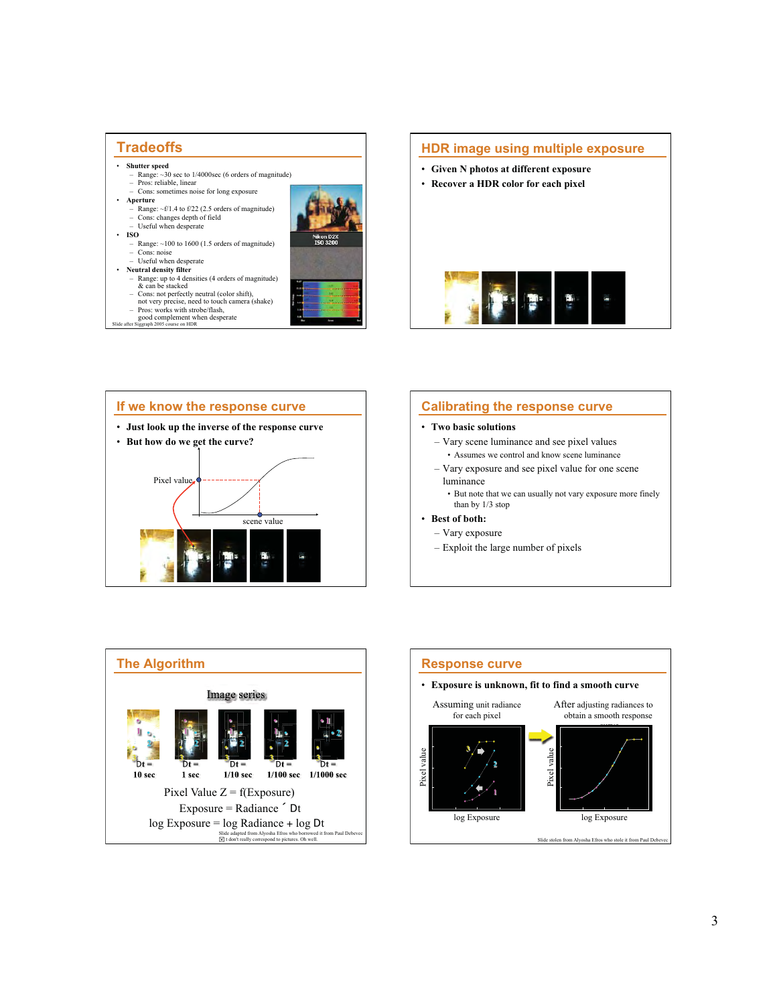



# **Calibrating the response curve**

### • **Two basic solutions**

- Vary scene luminance and see pixel values • Assumes we control and know scene luminance
- Vary exposure and see pixel value for one scene luminance

• But note that we can usually not vary exposure more finely than by 1/3 stop

- **Best of both:** 
	- Vary exposure
	- Exploit the large number of pixels



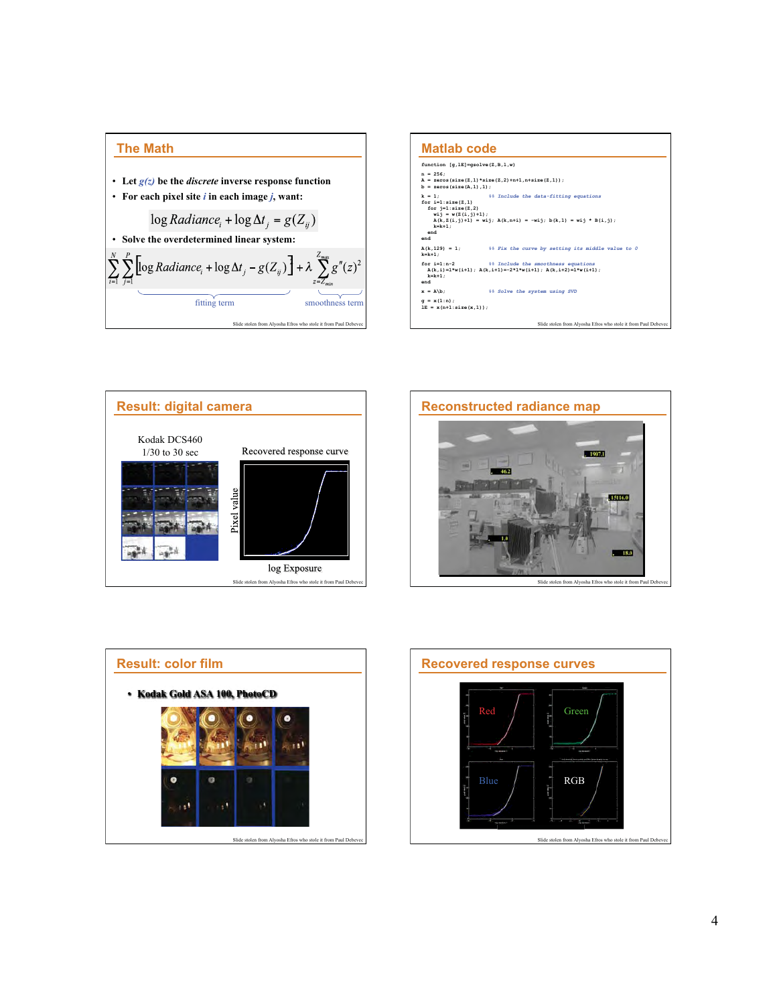









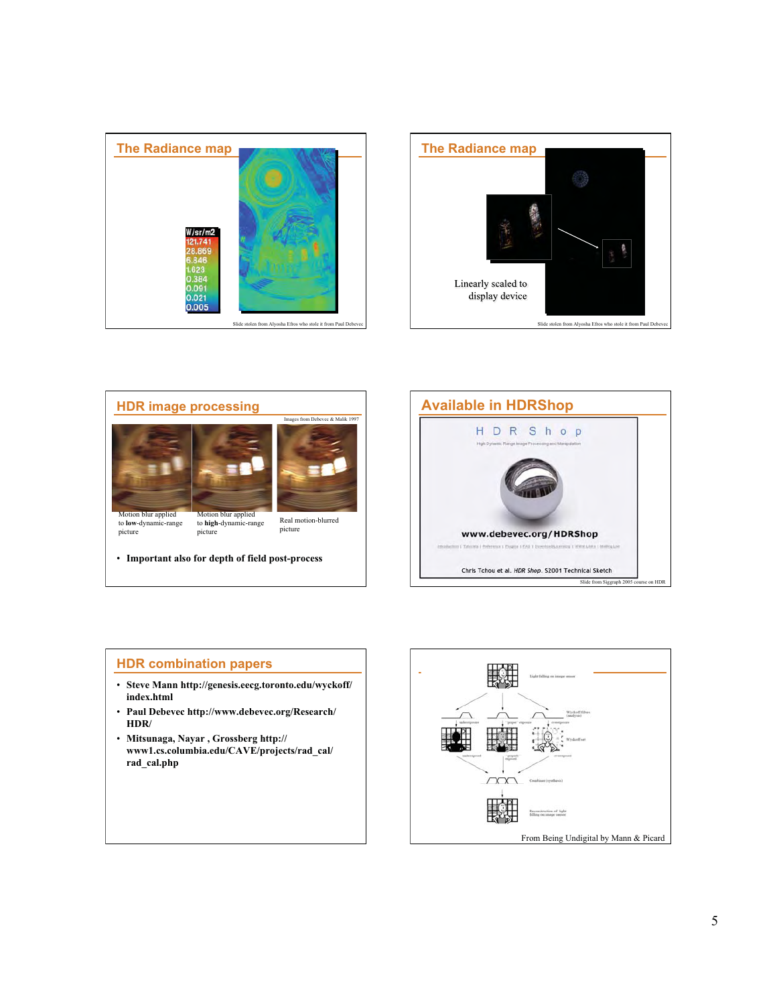







# **HDR combination papers**

- **Steve Mann http://genesis.eecg.toronto.edu/wyckoff/ index.html**
- **Paul Debevec http://www.debevec.org/Research/ HDR/**
- **Mitsunaga, Nayar , Grossberg http:// www1.cs.columbia.edu/CAVE/projects/rad\_cal/ rad\_cal.php**

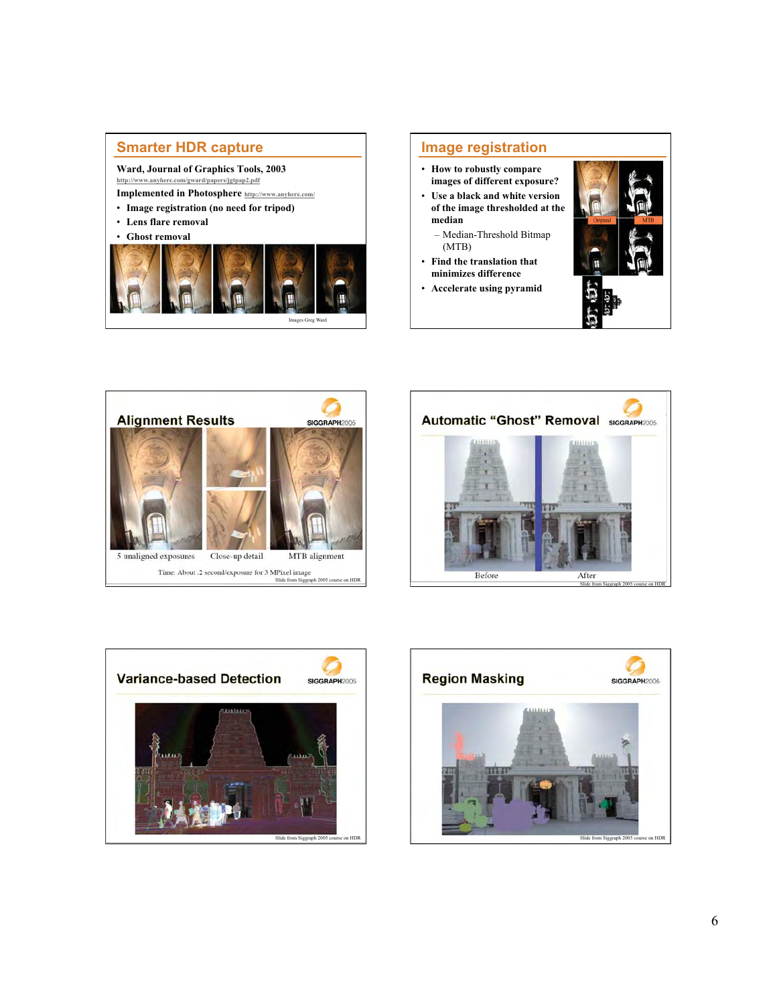# **Smarter HDR capture**

**Ward, Journal of Graphics Tools, 2003 http://www.anyhere.com/gward/papers/jgtpap2.pdf** 

**Implemented in Photosphere http://www.anyhere.com/** 

- **Image registration (no need for tripod)**
- **Lens flare removal**
- **Ghost removal**



# **Image registration**

- **How to robustly compare images of different exposure?**
- **Use a black and white version of the image thresholded at the median** 
	- Median-Threshold Bitmap (MTB)
- **Find the translation that minimizes difference**
- **Accelerate using pyramid**









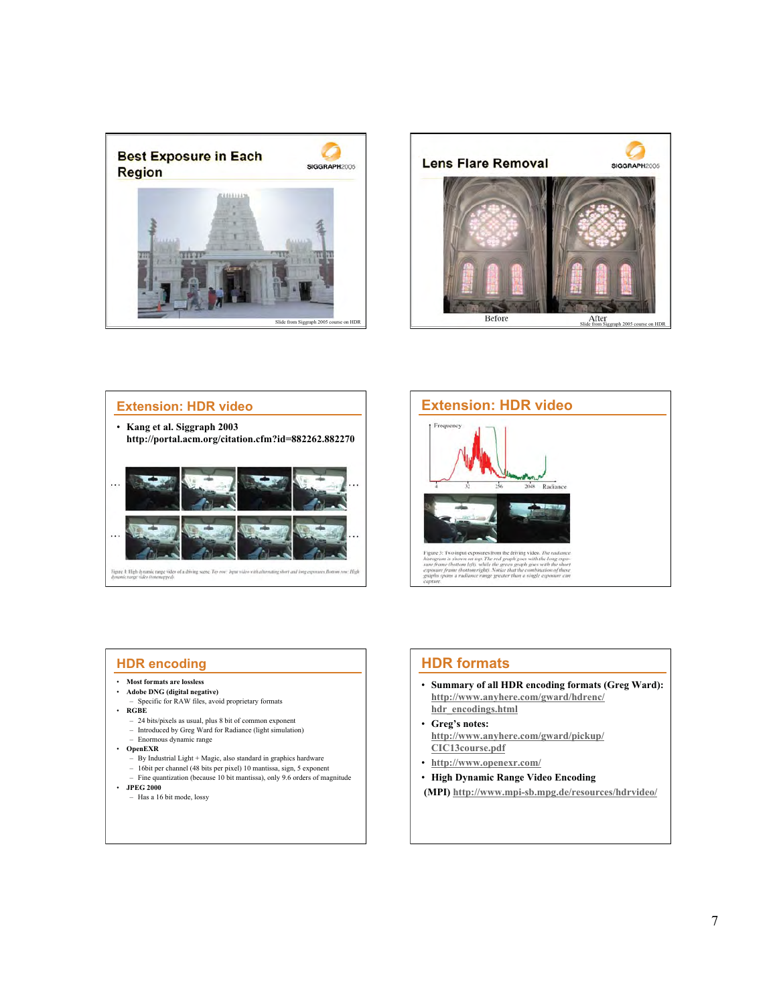







# **HDR encoding**

- **Most formats are lossless**
- **Adobe DNG (digital negative)**
- Specific for RAW files, avoid proprietary formats
- **RGBE** 
	- 24 bits/pixels as usual, plus 8 bit of common exponent – Introduced by Greg Ward for Radiance (light simulation) – Enormous dynamic range
- **OpenEXR** 
	- $-$  By Industrial Light + Magic, also standard in graphics hardware
- 16bit per channel (48 bits per pixel) 10 mantissa, sign, 5 exponent Fine quantization (because 10 bit mantissa), only 9.6 orders of magnitude • **JPEG 2000** 
	- Has a 16 bit mode, lossy

# **HDR formats**

- **Summary of all HDR encoding formats (Greg Ward): http://www.anyhere.com/gward/hdrenc/ hdr\_encodings.html**
- **Greg's notes: http://www.anyhere.com/gward/pickup/ CIC13course.pdf**
- **http://www.openexr.com/**
- **High Dynamic Range Video Encoding**
- **(MPI) http://www.mpi-sb.mpg.de/resources/hdrvideo/**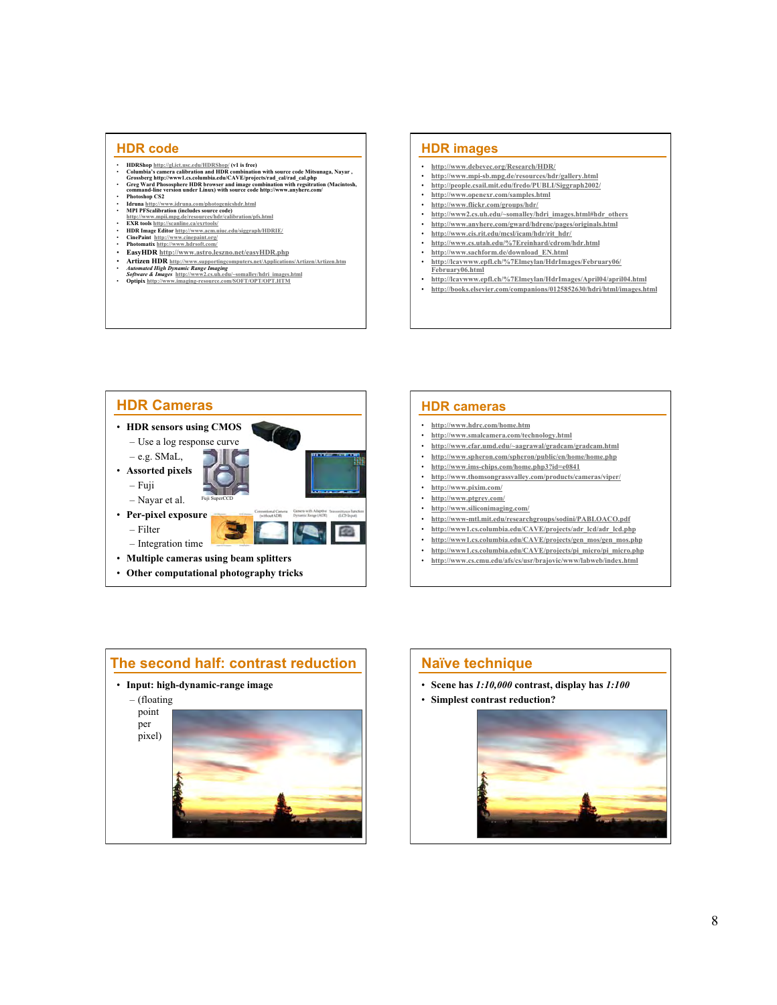### **HDR code**

- 
- 
- **HDRShop** <u>http://gl.ict.usc.edu/HDRShop/</u> (v1 is free)<br>Columbia's camera calibration and HDR combination with source code Mitsunaga, Nayar,<br>Grossberg http://www.1.ex.columbia.edu/CAVE/projects/rad\_cal/rad\_cal.php<br>Creg • **Photoshop CS2**
- 
- 
- **Idruma http://www.idruma.com/photogenischdr.html**<br>• **API PFScalibration (includes source code)**<br>http://www.mpil.mpg.de/resources/hdr/calibration/pfs.html<br>• EXR tools http://savanlinc.ca/extrools/<br>• HDR Image Editor http
- 
- **CinePaint http://www.cinepaint.org/**<br>**Photomatic http://www.bdsc.ft.com/** • **Photomatix http://www.hdrsoft.com/**
- **EasyHDR http://www.astro.leszno.net/easyHDR.php**
- 
- **Artizen HDR** <u>http://www.supportingcomputers.net/Applications/Artizen/Artizen.htm</u><br> *Software & Images* http://www.2.cs.uh.edu/~somalley/hdri\_images.html<br>
Software & Images http://www.inaging-resource.com/SOFT/OPT/OPT.H
- 

### **HDR images**

- **http://www.debevec.org/Research/HDR/**
- **http://www.mpi-sb.mpg.de/resources/hdr/gallery.html**
- **http://people.csail.mit.edu/fredo/PUBLI/Siggraph2002/**
- **http://www.openexr.com/samples.html**
- **http://www.flickr.com/groups/hdr/**
- **http://www2.cs.uh.edu/~somalley/hdri\_images.html#hdr\_others** • **http://www.anyhere.com/gward/hdrenc/pages/originals.html**
- **http://www.cis.rit.edu/mcsl/icam/hdr/rit\_hdr/**
- **http://www.cs.utah.edu/%7Ereinhard/cdrom/hdr.html**
- **http://www.sachform.de/download\_EN.html**
- **http://lcavwww.epfl.ch/%7Elmeylan/HdrImages/February06/**
- **February06.html**
- **http://lcavwww.epfl.ch/%7Elmeylan/HdrImages/April04/april04.html** • **http://books.elsevier.com/companions/0125852630/hdri/html/images.html**



# • **http://www.hdrc.com/home.htm**

- **http://www.smalcamera.com/technology.html** • **http://www.cfar.umd.edu/~aagrawal/gradcam/gradcam.html**
- **http://www.spheron.com/spheron/public/en/home/home.php**
- **http://www.ims-chips.com/home.php3?id=e0841**
- **http://www.thomsongrassvalley.com/products/cameras/viper/**
- **http://www.pixim.com/**
- 

**HDR cameras** 

- **http://www.ptgrey.com/**
- **http://www.siliconimaging.com/**
- **http://www-mtl.mit.edu/researchgroups/sodini/PABLOACO.pdf**
- **http://www1.cs.columbia.edu/CAVE/projects/adr\_lcd/adr\_lcd.php**
- **http://www1.cs.columbia.edu/CAVE/projects/gen\_mos/gen\_mos.php**
- **http://www1.cs.columbia.edu/CAVE/projects/pi\_micro/pi\_micro.php** • **http://www.cs.cmu.edu/afs/cs/usr/brajovic/www/labweb/index.html**
- 



### **Naïve technique**

- **Scene has** *1:10,000* **contrast, display has** *1:100*
- **Simplest contrast reduction?**

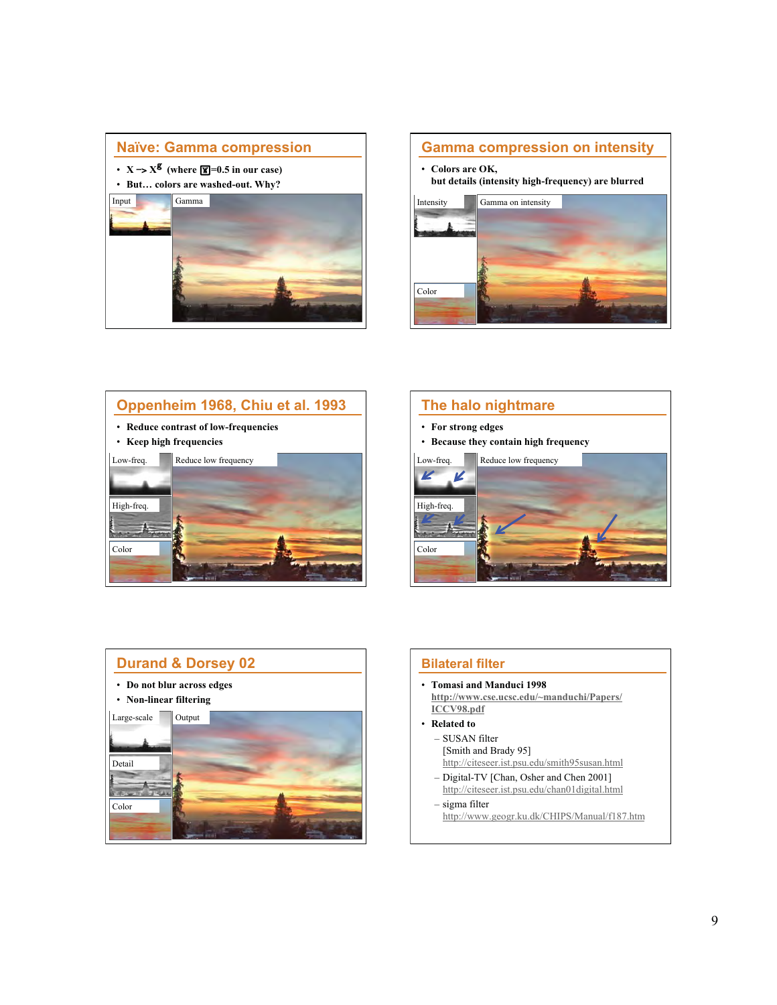









# **Bilateral filter**

- **Tomasi and Manduci 1998 http://www.cse.ucsc.edu/~manduchi/Papers/ ICCV98.pdf**
- **Related to** 
	- SUSAN filter [Smith and Brady 95] http://citeseer.ist.psu.edu/smith95susan.html
	- Digital-TV [Chan, Osher and Chen 2001] http://citeseer.ist.psu.edu/chan01digital.html
- sigma filter http://www.geogr.ku.dk/CHIPS/Manual/f187.htm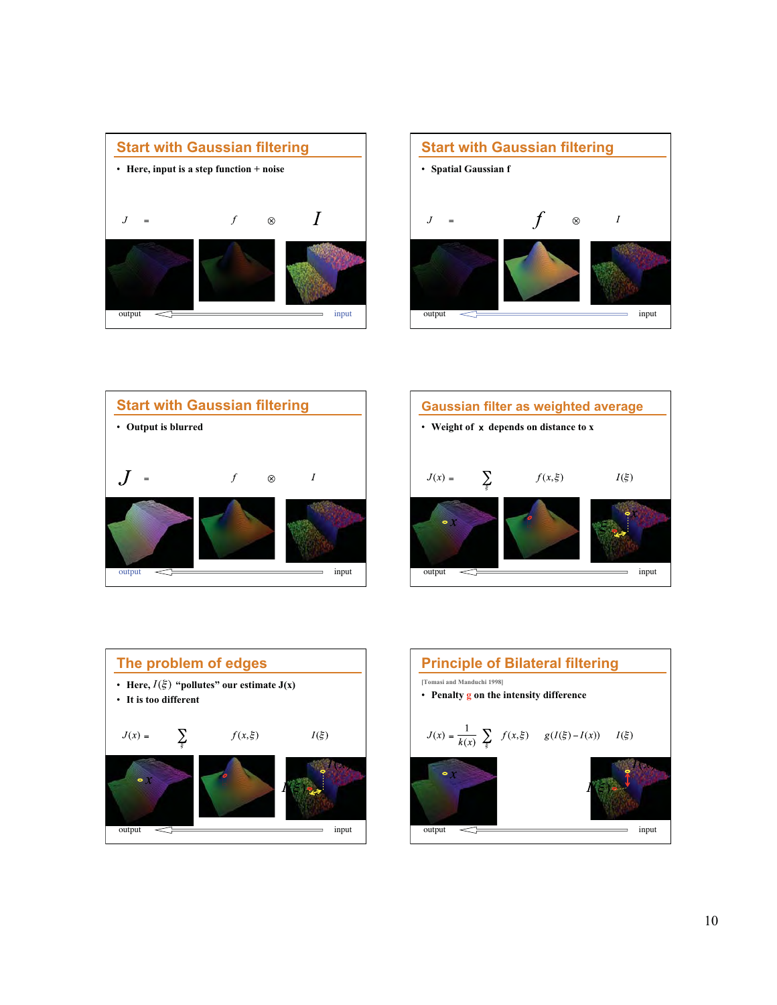









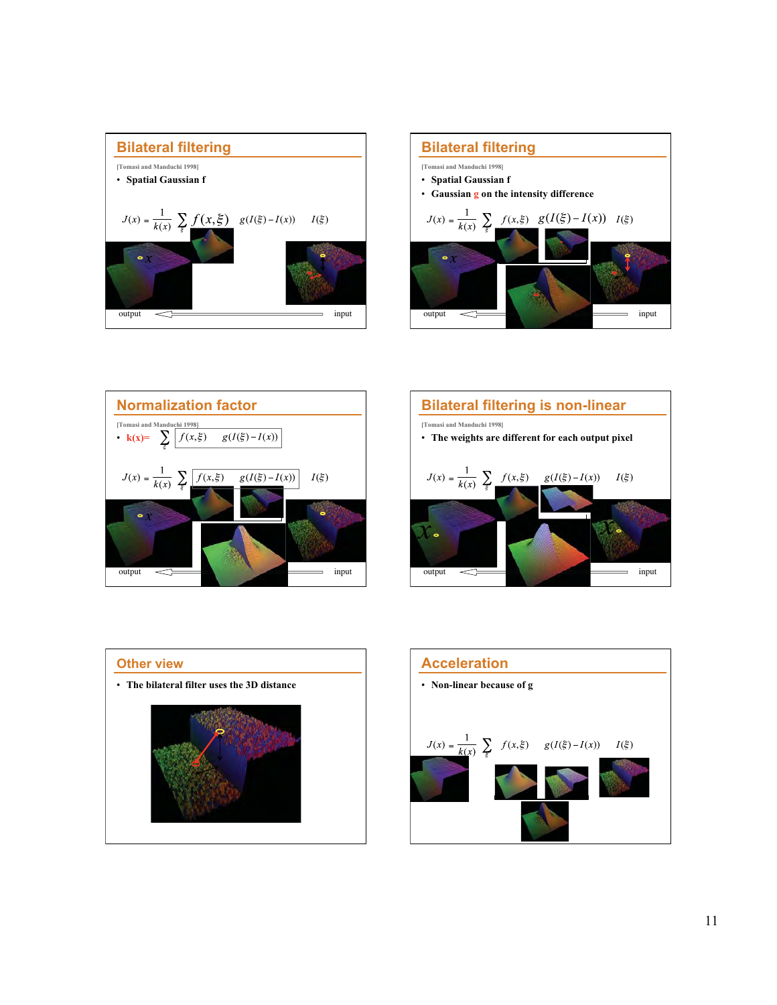









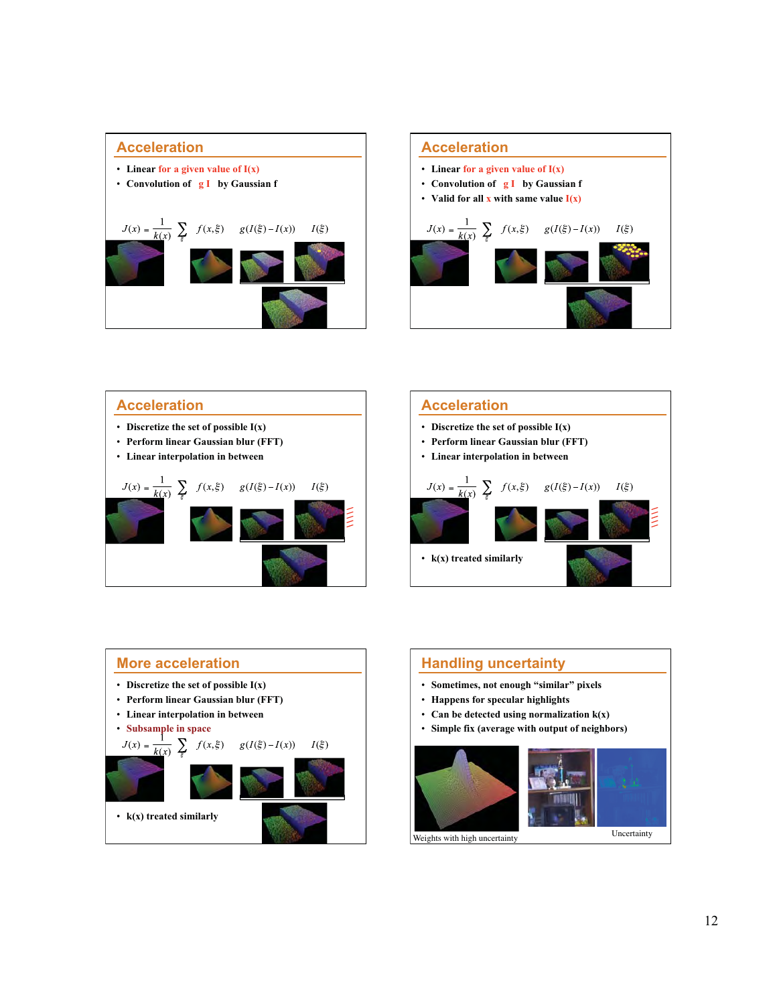











Weights with high uncertainty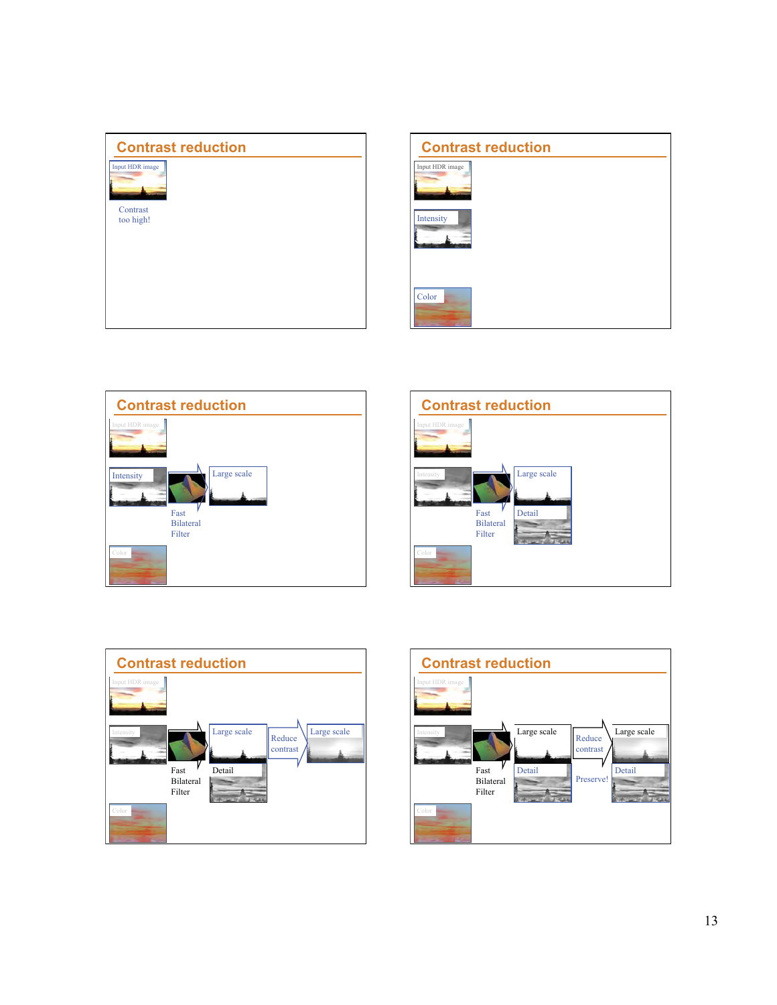









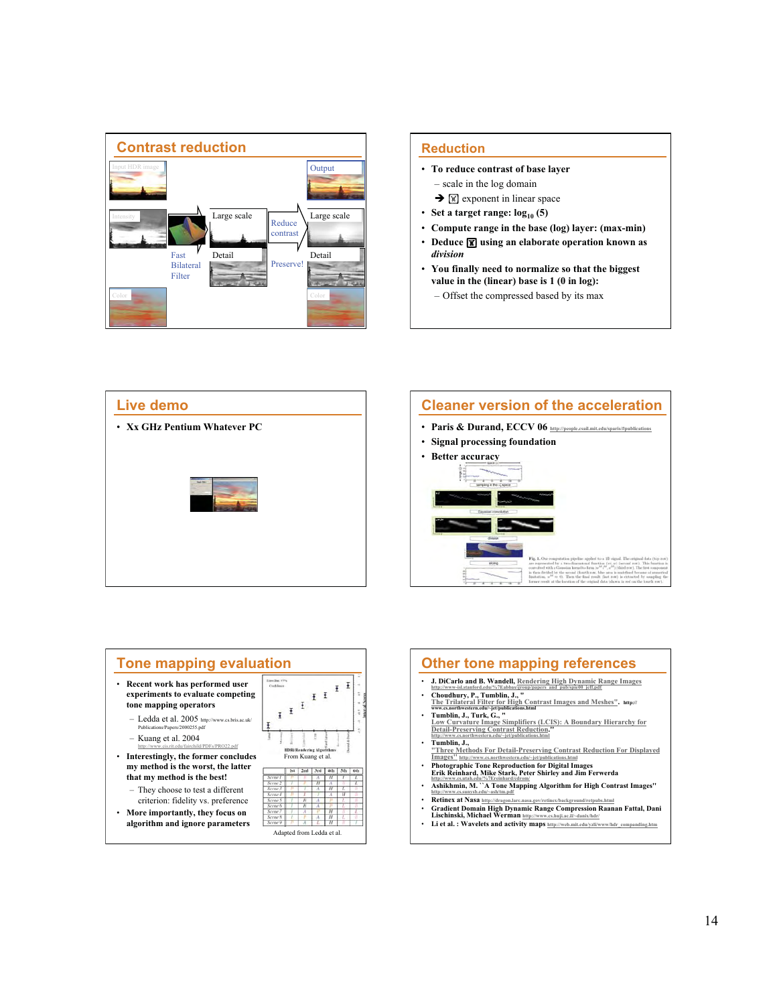

### **Reduction**

- **To reduce contrast of base layer**  – scale in the log domain
	- $\rightarrow \mathbb{K}$  exponent in linear space
- Set a target range:  $log_{10}(5)$
- **Compute range in the base (log) layer: (max-min)**
- Deduce **<b>7** using an elaborate operation known as *division*
- **You finally need to normalize so that the biggest value in the (linear) base is 1 (0 in log):** 
	- Offset the compressed based by its max









Li et al. : Wavelets and activity maps http://web.mit.edu/yzli/www/hdr\_com